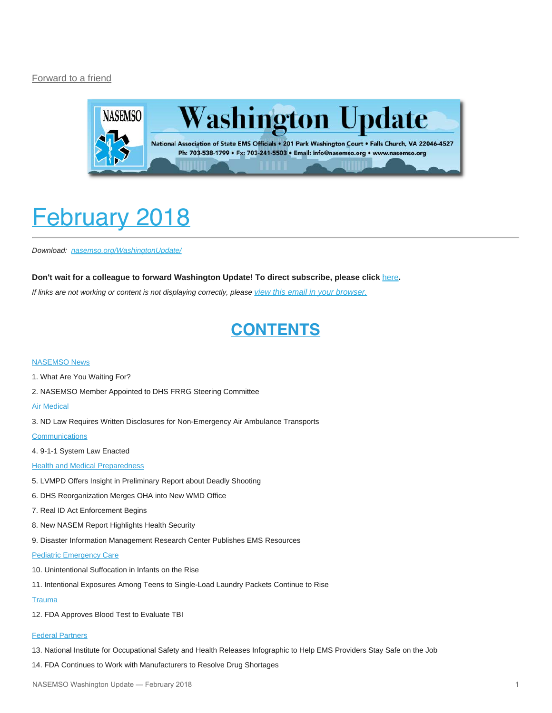#### [Forward to a friend](http://us13.forward-to-friend.com/forward?u=bdaf9a0cf267d423437d7b149&id=ac0652c10e&e=[UNIQID])



# <span id="page-0-0"></span>February 2018

*Download: [nasemso.org/WashingtonUpdate/](http://www.nasemso.org/WashingtonUpdate/)*

#### **Don't wait for a colleague to forward Washington Update! To direct subscribe, please click** [here](http://eepurl.com/cb1_dP)**.**

*If links are not working or content is not displaying correctly, please [view this email in your browser.](http://mailchi.mp/0a32098f7c65/washington-update-february-2018?e=[UNIQID])*

#### **CONTENTS**

#### [NASEMSO News](#page-1-0)

- 1. What Are You Waiting For?
- 2. NASEMSO Member Appointed to DHS FRRG Steering Committee

#### [Air Medical](#page-2-0)

3. ND Law Requires Written Disclosures for Non-Emergency Air Ambulance Transports

#### **[Communications](#page-2-1)**

4. 9-1-1 System Law Enacted

#### **[Health and Medical Preparedness](#page-3-0)**

- 5. LVMPD Offers Insight in Preliminary Report about Deadly Shooting
- 6. DHS Reorganization Merges OHA into New WMD Office
- 7. Real ID Act Enforcement Begins
- 8. New NASEM Report Highlights Health Security
- 9. Disaster Information Management Research Center Publishes EMS Resources

#### **[Pediatric Emergency Care](#page-5-0)**

- 10. Unintentional Suffocation in Infants on the Rise
- 11. Intentional Exposures Among Teens to Single-Load Laundry Packets Continue to Rise

#### **[Trauma](#page-6-0)**

12. FDA Approves Blood Test to Evaluate TBI

#### [Federal Partners](#page-7-0)

- 13. National Institute for Occupational Safety and Health Releases Infographic to Help EMS Providers Stay Safe on the Job
- 14. FDA Continues to Work with Manufacturers to Resolve Drug Shortages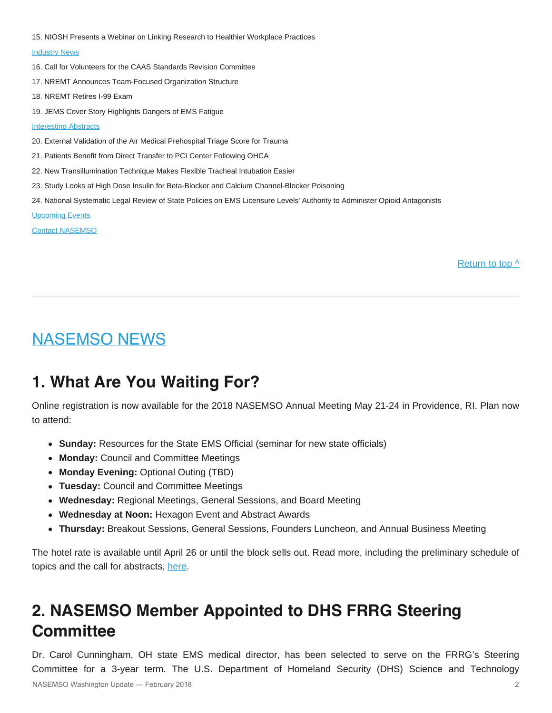15. NIOSH Presents a Webinar on Linking Research to Healthier Workplace Practices

#### **[Industry News](#page-8-0)**

- 16. Call for Volunteers for the CAAS Standards Revision Committee
- 17. NREMT Announces Team-Focused Organization Structure
- 18. NREMT Retires I-99 Exam
- 19. JEMS Cover Story Highlights Dangers of EMS Fatigue

#### [Interesting Abstracts](#page-9-0)

- 20. External Validation of the Air Medical Prehospital Triage Score for Trauma
- 21. Patients Benefit from Direct Transfer to PCI Center Following OHCA
- 22. New Transillumination Technique Makes Flexible Tracheal Intubation Easier
- 23. Study Looks at High Dose Insulin for Beta-Blocker and Calcium Channel-Blocker Poisoning
- 24. National Systematic Legal Review of State Policies on EMS Licensure Levels' Authority to Administer Opioid Antagonists

[Upcoming Events](#page-10-0)

[Contact NASEMSO](#page-13-0)

Return to top  $\wedge$ 

#### <span id="page-1-0"></span>NASEMSO NEWS

### **1. What Are You Waiting For?**

Online registration is now available for the 2018 NASEMSO Annual Meeting May 21-24 in Providence, RI. Plan now to attend:

- **Sunday:** Resources for the State EMS Official (seminar for new state officials)
- **Monday:** Council and Committee Meetings
- **Monday Evening:** Optional Outing (TBD)
- **Tuesday:** Council and Committee Meetings
- **Wednesday:** Regional Meetings, General Sessions, and Board Meeting
- **Wednesday at Noon:** Hexagon Event and Abstract Awards
- **Thursday:** Breakout Sessions, General Sessions, Founders Luncheon, and Annual Business Meeting

The hotel rate is available until April 26 or until the block sells out. Read more, including the preliminary schedule of topics and the call for abstracts, [here](https://www.nasemso.org/AnnualMeeting2018/index.asp).

# **2. NASEMSO Member Appointed to DHS FRRG Steering Committee**

Dr. Carol Cunningham, OH state EMS medical director, has been selected to serve on the FRRG's Steering Committee for a 3-year term. The U.S. Department of Homeland Security (DHS) Science and Technology NASEMSO Washington Update — February 2018 2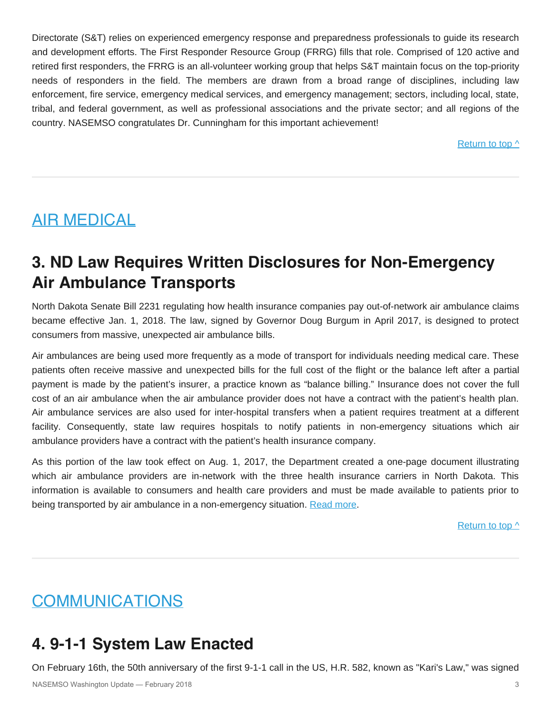Directorate (S&T) relies on experienced emergency response and preparedness professionals to guide its research and development efforts. The First Responder Resource Group (FRRG) fills that role. Comprised of 120 active and retired first responders, the FRRG is an all-volunteer working group that helps S&T maintain focus on the top-priority needs of responders in the field. The members are drawn from a broad range of disciplines, including law enforcement, fire service, emergency medical services, and emergency management; sectors, including local, state, tribal, and federal government, as well as professional associations and the private sector; and all regions of the country. NASEMSO congratulates Dr. Cunningham for this important achievement!

[Return to top ^](#page-0-0)

#### <span id="page-2-0"></span>AIR MEDICAL

### **3. ND Law Requires Written Disclosures for Non-Emergency Air Ambulance Transports**

North Dakota Senate Bill 2231 regulating how health insurance companies pay out-of-network air ambulance claims became effective Jan. 1, 2018. The law, signed by Governor Doug Burgum in April 2017, is designed to protect consumers from massive, unexpected air ambulance bills.

Air ambulances are being used more frequently as a mode of transport for individuals needing medical care. These patients often receive massive and unexpected bills for the full cost of the flight or the balance left after a partial payment is made by the patient's insurer, a practice known as "balance billing." Insurance does not cover the full cost of an air ambulance when the air ambulance provider does not have a contract with the patient's health plan. Air ambulance services are also used for inter-hospital transfers when a patient requires treatment at a different facility. Consequently, state law requires hospitals to notify patients in non-emergency situations which air ambulance providers have a contract with the patient's health insurance company.

As this portion of the law took effect on Aug. 1, 2017, the Department created a one-page document illustrating which air ambulance providers are in-network with the three health insurance carriers in North Dakota. This information is available to consumers and health care providers and must be made available to patients prior to being transported by air ambulance in a non-emergency situation. [Read more](http://www.nd.gov/ndins).

[Return to top ^](#page-0-0)

# <span id="page-2-1"></span>COMMUNICATIONS

# **4. 9-1-1 System Law Enacted**

On February 16th, the 50th anniversary of the first 9-1-1 call in the US, H.R. 582, known as "Kari's Law," was signed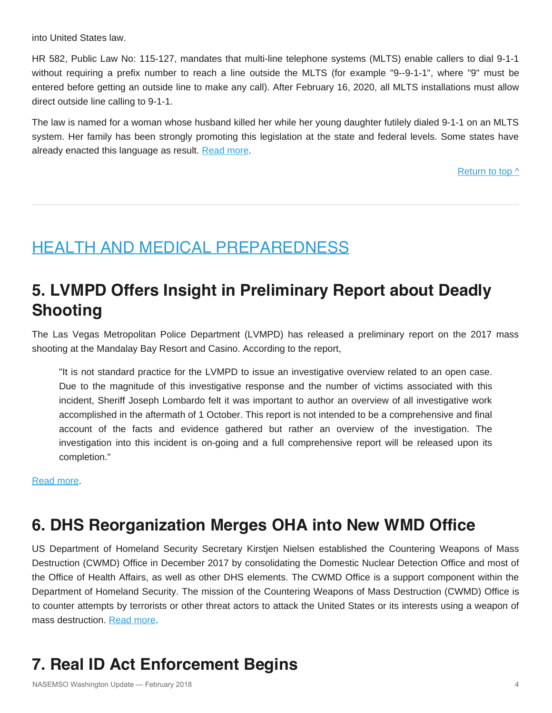into United States law.

HR 582, Public Law No: 115-127, mandates that multi-line telephone systems (MLTS) enable callers to dial 9-1-1 without requiring a prefix number to reach a line outside the MLTS (for example "9--9-1-1", where "9" must be entered before getting an outside line to make any call). After February 16, 2020, all MLTS installations must allow direct outside line calling to 9-1-1.

The law is named for a woman whose husband killed her while her young daughter futilely dialed 9-1-1 on an MLTS system. Her family has been strongly promoting this legislation at the state and federal levels. Some states have already enacted this language as result. [Read more.](https://www.congress.gov/bill/115th-congress/house-bill/582)

Return to top  $\wedge$ 

#### <span id="page-3-0"></span>HEALTH AND MEDICAL PREPAREDNESS

# **5. LVMPD Offers Insight in Preliminary Report about Deadly Shooting**

The Las Vegas Metropolitan Police Department (LVMPD) has released a preliminary report on the 2017 mass shooting at the Mandalay Bay Resort and Casino. According to the report,

"It is not standard practice for the LVMPD to issue an investigative overview related to an open case. Due to the magnitude of this investigative response and the number of victims associated with this incident, Sheriff Joseph Lombardo felt it was important to author an overview of all investigative work accomplished in the aftermath of 1 October. This report is not intended to be a comprehensive and final account of the facts and evidence gathered but rather an overview of the investigation. The investigation into this incident is on-going and a full comprehensive report will be released upon its completion."

[Read more.](https://www.lvmpd.com/en-us/Documents/1_October_FIT_Report_01-18-2018_Footnoted.pdf)

### **6. DHS Reorganization Merges OHA into New WMD Office**

US Department of Homeland Security Secretary Kirstjen Nielsen established the Countering Weapons of Mass Destruction (CWMD) Office in December 2017 by consolidating the Domestic Nuclear Detection Office and most of the Office of Health Affairs, as well as other DHS elements. The CWMD Office is a support component within the Department of Homeland Security. The mission of the Countering Weapons of Mass Destruction (CWMD) Office is to counter attempts by terrorists or other threat actors to attack the United States or its interests using a weapon of mass destruction. [Read more](https://www.dhs.gov/countering-weapons-mass-destruction-office).

# **7. Real ID Act Enforcement Begins**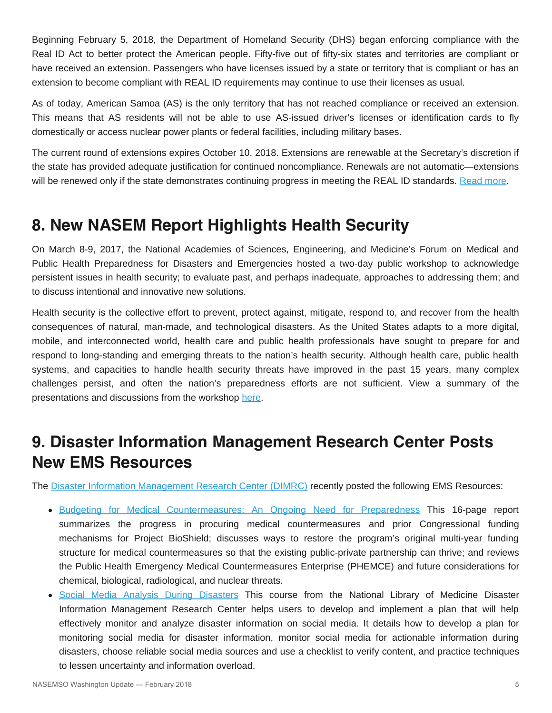Beginning February 5, 2018, the Department of Homeland Security (DHS) began enforcing compliance with the Real ID Act to better protect the American people. Fifty-five out of fifty-six states and territories are compliant or have received an extension. Passengers who have licenses issued by a state or territory that is compliant or has an extension to become compliant with REAL ID requirements may continue to use their licenses as usual.

As of today, American Samoa (AS) is the only territory that has not reached compliance or received an extension. This means that AS residents will not be able to use AS-issued driver's licenses or identification cards to fly domestically or access nuclear power plants or federal facilities, including military bases.

The current round of extensions expires October 10, 2018. Extensions are renewable at the Secretary's discretion if the state has provided adequate justification for continued noncompliance. Renewals are not automatic—extensions will be renewed only if the state demonstrates continuing progress in meeting the REAL ID standards. [Read more.](https://www.dhs.gov/real-id)

### **8. New NASEM Report Highlights Health Security**

On March 8-9, 2017, the National Academies of Sciences, Engineering, and Medicine's Forum on Medical and Public Health Preparedness for Disasters and Emergencies hosted a two-day public workshop to acknowledge persistent issues in health security; to evaluate past, and perhaps inadequate, approaches to addressing them; and to discuss intentional and innovative new solutions.

Health security is the collective effort to prevent, protect against, mitigate, respond to, and recover from the health consequences of natural, man-made, and technological disasters. As the United States adapts to a more digital, mobile, and interconnected world, health care and public health professionals have sought to prepare for and respond to long-standing and emerging threats to the nation's health security. Although health care, public health systems, and capacities to handle health security threats have improved in the past 15 years, many complex challenges persist, and often the nation's preparedness efforts are not sufficient. View a summary of the presentations and discussions from the workshop [here](https://www.nap.edu/read/24856/chapter/1).

### **9. Disaster Information Management Research Center Posts New EMS Resources**

The [Disaster Information Management Research Center \(DIMRC\)](https://disaster.nlm.nih.gov/) recently posted the following EMS Resources:

- [Budgeting for Medical Countermeasures: An Ongoing Need for Preparedness](https://disasterlit.nlm.nih.gov/record/16702) This 16-page report summarizes the progress in procuring medical countermeasures and prior Congressional funding mechanisms for Project BioShield; discusses ways to restore the program's original multi-year funding structure for medical countermeasures so that the existing public-private partnership can thrive; and reviews the Public Health Emergency Medical Countermeasures Enterprise (PHEMCE) and future considerations for chemical, biological, radiological, and nuclear threats.
- [Social Media Analysis During Disasters](https://disasterlit.nlm.nih.gov/record/16703) This course from the National Library of Medicine Disaster Information Management Research Center helps users to develop and implement a plan that will help effectively monitor and analyze disaster information on social media. It details how to develop a plan for monitoring social media for disaster information, monitor social media for actionable information during disasters, choose reliable social media sources and use a checklist to verify content, and practice techniques to lessen uncertainty and information overload.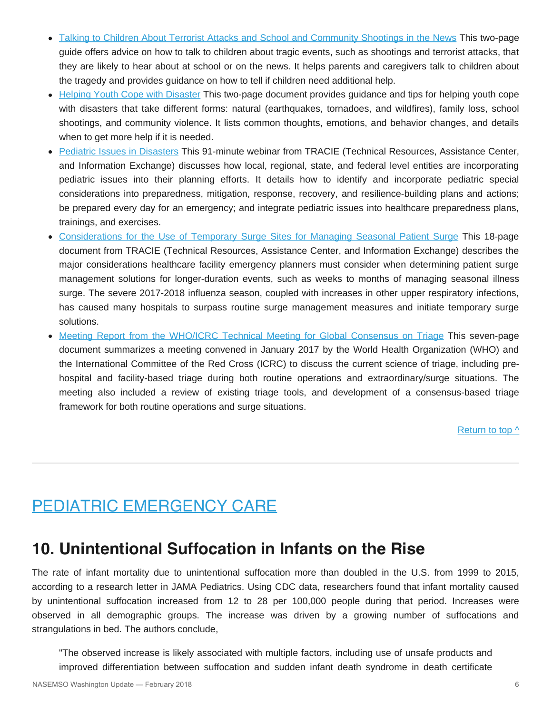- [Talking to Children About Terrorist Attacks and School and Community Shootings in the News](https://disasterlit.nlm.nih.gov/record/16704) This two-page guide offers advice on how to talk to children about tragic events, such as shootings and terrorist attacks, that they are likely to hear about at school or on the news. It helps parents and caregivers talk to children about the tragedy and provides guidance on how to tell if children need additional help.
- [Helping Youth Cope with Disaster](https://disasterlit.nlm.nih.gov/record/16696) This two-page document provides guidance and tips for helping youth cope with disasters that take different forms: natural (earthquakes, tornadoes, and wildfires), family loss, school shootings, and community violence. It lists common thoughts, emotions, and behavior changes, and details when to get more help if it is needed.
- [Pediatric Issues in Disasters](https://disasterlit.nlm.nih.gov/record/16687) This 91-minute webinar from TRACIE (Technical Resources, Assistance Center, and Information Exchange) discusses how local, regional, state, and federal level entities are incorporating pediatric issues into their planning efforts. It details how to identify and incorporate pediatric special considerations into preparedness, mitigation, response, recovery, and resilience-building plans and actions; be prepared every day for an emergency; and integrate pediatric issues into healthcare preparedness plans, trainings, and exercises.
- [Considerations for the Use of Temporary Surge Sites for Managing Seasonal Patient Surge](https://disasterlit.nlm.nih.gov/record/16682) This 18-page document from TRACIE (Technical Resources, Assistance Center, and Information Exchange) describes the major considerations healthcare facility emergency planners must consider when determining patient surge management solutions for longer-duration events, such as weeks to months of managing seasonal illness surge. The severe 2017-2018 influenza season, coupled with increases in other upper respiratory infections, has caused many hospitals to surpass routine surge management measures and initiate temporary surge solutions.
- [Meeting Report from the WHO/ICRC Technical Meeting for Global Consensus on Triage](https://disasterlit.nlm.nih.gov/record/16680) This seven-page document summarizes a meeting convened in January 2017 by the World Health Organization (WHO) and the International Committee of the Red Cross (ICRC) to discuss the current science of triage, including prehospital and facility-based triage during both routine operations and extraordinary/surge situations. The meeting also included a review of existing triage tools, and development of a consensus-based triage framework for both routine operations and surge situations.

[Return to top ^](#page-0-0)

### <span id="page-5-0"></span>PEDIATRIC EMERGENCY CARE

#### **10. Unintentional Suffocation in Infants on the Rise**

The rate of infant mortality due to unintentional suffocation more than doubled in the U.S. from 1999 to 2015, according to a research letter in JAMA Pediatrics. Using CDC data, researchers found that infant mortality caused by unintentional suffocation increased from 12 to 28 per 100,000 people during that period. Increases were observed in all demographic groups. The increase was driven by a growing number of suffocations and strangulations in bed. The authors conclude,

"The observed increase is likely associated with multiple factors, including use of unsafe products and improved differentiation between suffocation and sudden infant death syndrome in death certificate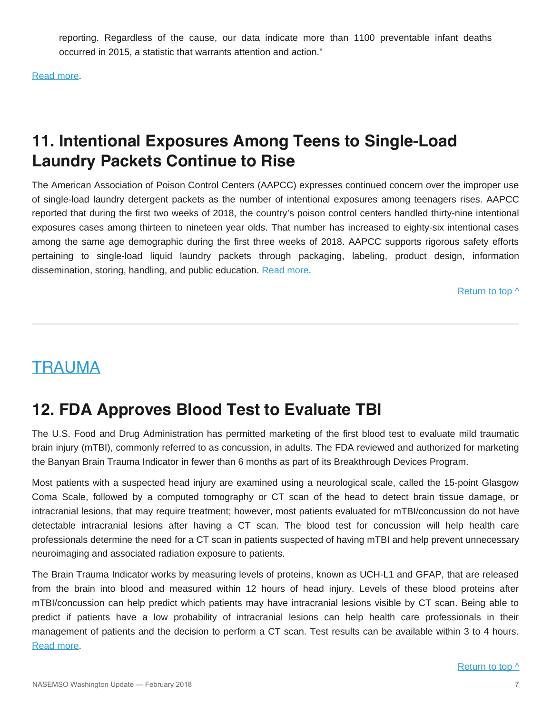reporting. Regardless of the cause, our data indicate more than 1100 preventable infant deaths occurred in 2015, a statistic that warrants attention and action."

[Read more.](https://jamanetwork.com/journals/jamapediatrics/article-abstract/2672731?redirect=true)

# **11. Intentional Exposures Among Teens to Single-Load Laundry Packets Continue to Rise**

The American Association of Poison Control Centers (AAPCC) expresses continued concern over the improper use of single-load laundry detergent packets as the number of intentional exposures among teenagers rises. AAPCC reported that during the first two weeks of 2018, the country's poison control centers handled thirty-nine intentional exposures cases among thirteen to nineteen year olds. That number has increased to eighty-six intentional cases among the same age demographic during the first three weeks of 2018. AAPCC supports rigorous safety efforts pertaining to single-load liquid laundry packets through packaging, labeling, product design, information dissemination, storing, handling, and public education. [Read more.](http://www.aapcc.org/press/84/)

[Return to top ^](#page-0-0)

### <span id="page-6-0"></span>TRAUMA

### **12. FDA Approves Blood Test to Evaluate TBI**

The U.S. Food and Drug Administration has permitted marketing of the first blood test to evaluate mild traumatic brain injury (mTBI), commonly referred to as concussion, in adults. The FDA reviewed and authorized for marketing the Banyan Brain Trauma Indicator in fewer than 6 months as part of its Breakthrough Devices Program.

Most patients with a suspected head injury are examined using a neurological scale, called the 15-point Glasgow Coma Scale, followed by a computed tomography or CT scan of the head to detect brain tissue damage, or intracranial lesions, that may require treatment; however, most patients evaluated for mTBI/concussion do not have detectable intracranial lesions after having a CT scan. The blood test for concussion will help health care professionals determine the need for a CT scan in patients suspected of having mTBI and help prevent unnecessary neuroimaging and associated radiation exposure to patients.

The Brain Trauma Indicator works by measuring levels of proteins, known as UCH-L1 and GFAP, that are released from the brain into blood and measured within 12 hours of head injury. Levels of these blood proteins after mTBI/concussion can help predict which patients may have intracranial lesions visible by CT scan. Being able to predict if patients have a low probability of intracranial lesions can help health care professionals in their management of patients and the decision to perform a CT scan. Test results can be available within 3 to 4 hours. [Read more.](https://www.fda.gov/NewsEvents/Newsroom/PressAnnouncements/ucm596531.htm)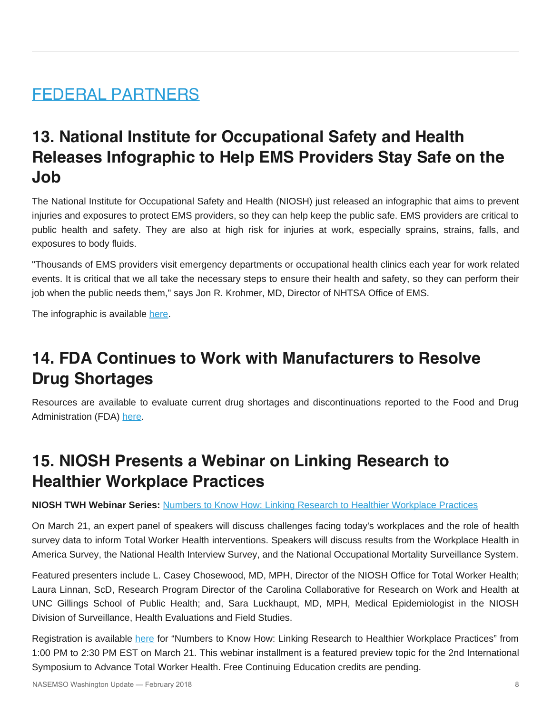### <span id="page-7-0"></span>FEDERAL PARTNERS

# **13. National Institute for Occupational Safety and Health Releases Infographic to Help EMS Providers Stay Safe on the Job**

The National Institute for Occupational Safety and Health (NIOSH) just released an infographic that aims to prevent injuries and exposures to protect EMS providers, so they can help keep the public safe. EMS providers are critical to public health and safety. They are also at high risk for injuries at work, especially sprains, strains, falls, and exposures to body fluids.

"Thousands of EMS providers visit emergency departments or occupational health clinics each year for work related events. It is critical that we all take the necessary steps to ensure their health and safety, so they can perform their job when the public needs them," says Jon R. Krohmer, MD, Director of NHTSA Office of EMS.

The infographic is available [here](https://www.cdc.gov/niosh/topics/ems/pdfs/EMS_Provider_Infographic.pdf?s_cid=3ni7d2nhtsa2018).

# **14. FDA Continues to Work with Manufacturers to Resolve Drug Shortages**

Resources are available to evaluate current drug shortages and discontinuations reported to the Food and Drug Administration (FDA) [here](https://www.accessdata.fda.gov/scripts/drugshortages/default.cfm).

### **15. NIOSH Presents a Webinar on Linking Research to Healthier Workplace Practices**

#### **NIOSH TWH Webinar Series:** [Numbers to Know How: Linking Research to Healthier Workplace Practices](https://events-na12.adobeconnect.com/content/connect/c1/1278955632/en/events/event/shared/default_template_simple/event_registration.html?sco-id=1838463979&campaign-id=nws&_charset_=utf-8)

On March 21, an expert panel of speakers will discuss challenges facing today's workplaces and the role of health survey data to inform Total Worker Health interventions. Speakers will discuss results from the Workplace Health in America Survey, the National Health Interview Survey, and the National Occupational Mortality Surveillance System.

Featured presenters include L. Casey Chosewood, MD, MPH, Director of the NIOSH Office for Total Worker Health; Laura Linnan, ScD, Research Program Director of the Carolina Collaborative for Research on Work and Health at UNC Gillings School of Public Health; and, Sara Luckhaupt, MD, MPH, Medical Epidemiologist in the NIOSH Division of Surveillance, Health Evaluations and Field Studies.

Registration is available [here](https://events-na12.adobeconnect.com/content/connect/c1/1278955632/en/events/event/shared/default_template_simple/event_registration.html?sco-id=1838463979&campaign-id=nws&_charset_=utf-8) for "Numbers to Know How: Linking Research to Healthier Workplace Practices" from 1:00 PM to 2:30 PM EST on March 21. This webinar installment is a featured preview topic for the 2nd International Symposium to Advance Total Worker Health. Free Continuing Education credits are pending.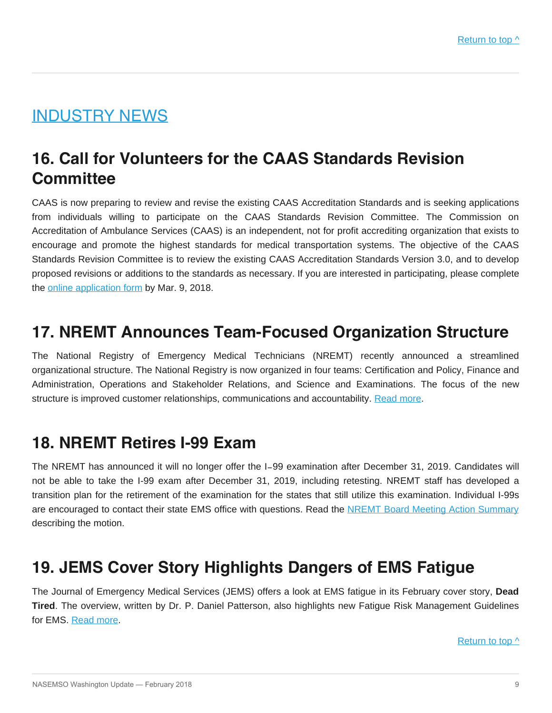### <span id="page-8-0"></span>INDUSTRY NEWS

# **16. Call for Volunteers for the CAAS Standards Revision Committee**

CAAS is now preparing to review and revise the existing CAAS Accreditation Standards and is seeking applications from individuals willing to participate on the CAAS Standards Revision Committee. The Commission on Accreditation of Ambulance Services (CAAS) is an independent, not for profit accrediting organization that exists to encourage and promote the highest standards for medical transportation systems. The objective of the CAAS Standards Revision Committee is to review the existing CAAS Accreditation Standards Version 3.0, and to develop proposed revisions or additions to the standards as necessary. If you are interested in participating, please complete the [online application form](http://www.caas.org/caas-standards/caas-standards-revision-committee-call-for-volunteers/) by Mar. 9, 2018.

#### **17. NREMT Announces Team-Focused Organization Structure**

The National Registry of Emergency Medical Technicians (NREMT) recently announced a streamlined organizational structure. The National Registry is now organized in four teams: Certification and Policy, Finance and Administration, Operations and Stakeholder Relations, and Science and Examinations. The focus of the new structure is improved customer relationships, communications and accountability. [Read more](https://www.nremt.org/rwd/public/document/news-new-team).

### **18. NREMT Retires I-99 Exam**

The NREMT has announced it will no longer offer the I‐99 examination after December 31, 2019. Candidates will not be able to take the I-99 exam after December 31, 2019, including retesting. NREMT staff has developed a transition plan for the retirement of the examination for the states that still utilize this examination. Individual I-99s are encouraged to contact their state EMS office with questions. Read the [NREMT Board Meeting Action Summary](https://www.nremt.org/rwd/public/document/board-meeting) describing the motion.

### **19. JEMS Cover Story Highlights Dangers of EMS Fatigue**

The Journal of Emergency Medical Services (JEMS) offers a look at EMS fatigue in its February cover story, **Dead Tired**. The overview, written by Dr. P. Daniel Patterson, also highlights new Fatigue Risk Management Guidelines for EMS. [Read more](http://www.jemsdigital.com/jems/201802?pg=28#pg28).

Return to top  $\wedge$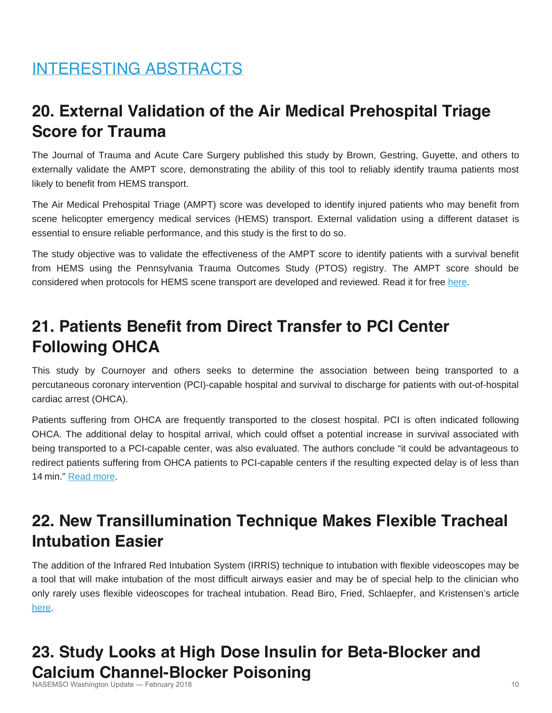# <span id="page-9-0"></span>INTERESTING ABSTRACTS

# **20. External Validation of the Air Medical Prehospital Triage Score for Trauma**

The Journal of Trauma and Acute Care Surgery published this study by Brown, Gestring, Guyette, and others to externally validate the AMPT score, demonstrating the ability of this tool to reliably identify trauma patients most likely to benefit from HEMS transport.

The Air Medical Prehospital Triage (AMPT) score was developed to identify injured patients who may benefit from scene helicopter emergency medical services (HEMS) transport. External validation using a different dataset is essential to ensure reliable performance, and this study is the first to do so.

The study objective was to validate the effectiveness of the AMPT score to identify patients with a survival benefit from HEMS using the Pennsylvania Trauma Outcomes Study (PTOS) registry. The AMPT score should be considered when protocols for HEMS scene transport are developed and reviewed. Read it for free [here](https://www.ncbi.nlm.nih.gov/pmc/articles/PMC5250556/#).

# **21. Patients Benefit from Direct Transfer to PCI Center Following OHCA**

This study by Cournoyer and others seeks to determine the association between being transported to a percutaneous coronary intervention (PCI)-capable hospital and survival to discharge for patients with out-of-hospital cardiac arrest (OHCA).

Patients suffering from OHCA are frequently transported to the closest hospital. PCI is often indicated following OHCA. The additional delay to hospital arrival, which could offset a potential increase in survival associated with being transported to a PCI-capable center, was also evaluated. The authors conclude "it could be advantageous to redirect patients suffering from OHCA patients to PCI-capable centers if the resulting expected delay is of less than 14 min." [Read more](http://www.resuscitationjournal.com/article/S0300-9572(18)30058-3/fulltext).

# **22. New Transillumination Technique Makes Flexible Tracheal Intubation Easier**

The addition of the Infrared Red Intubation System (IRRIS) technique to intubation with flexible videoscopes may be a tool that will make intubation of the most difficult airways easier and may be of special help to the clinician who only rarely uses flexible videoscopes for tracheal intubation. Read Biro, Fried, Schlaepfer, and Kristensen's article [here.](http://onlinelibrary.wiley.com/doi/10.1111/anae.14217/abstract)

#### **23. Study Looks at High Dose Insulin for Beta-Blocker and Calcium Channel-Blocker Poisoning** NASEMSO Washington Update — February 2018 10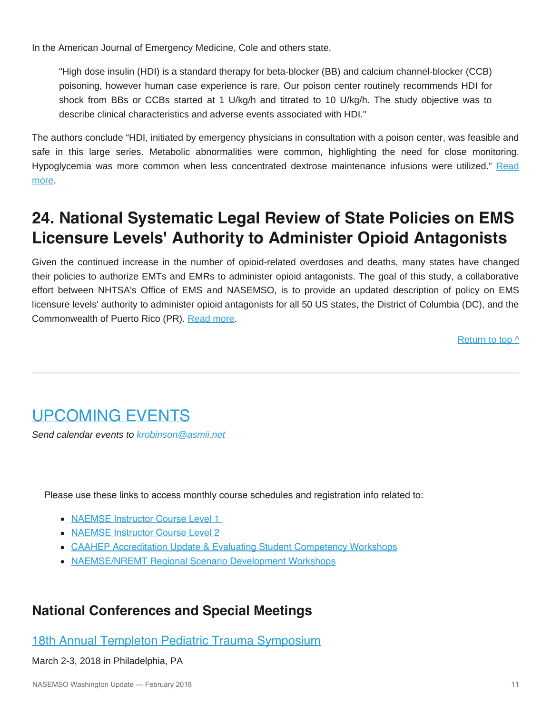In the American Journal of Emergency Medicine, Cole and others state,

"High dose insulin (HDI) is a standard therapy for beta-blocker (BB) and calcium channel-blocker (CCB) poisoning, however human case experience is rare. Our poison center routinely recommends HDI for shock from BBs or CCBs started at 1 U/kg/h and titrated to 10 U/kg/h. The study objective was to describe clinical characteristics and adverse events associated with HDI."

The authors conclude "HDI, initiated by emergency physicians in consultation with a poison center, was feasible and safe in this large series. Metabolic abnormalities were common, highlighting the need for close monitoring. Hypoglycemia was more common when less concentrated dextrose maintenance infusions were utilized." [Read](http://www.ajemjournal.com/article/S0735-6757(18)30122-0/fulltext) [more](http://www.ajemjournal.com/article/S0735-6757(18)30122-0/fulltext).

# **24. National Systematic Legal Review of State Policies on EMS Licensure Levels' Authority to Administer Opioid Antagonists**

Given the continued increase in the number of opioid-related overdoses and deaths, many states have changed their policies to authorize EMTs and EMRs to administer opioid antagonists. The goal of this study, a collaborative effort between NHTSA's Office of EMS and NASEMSO, is to provide an updated description of policy on EMS licensure levels' authority to administer opioid antagonists for all 50 US states, the District of Columbia (DC), and the Commonwealth of Puerto Rico (PR). [Read more](https://doi.org/10.1080/10903127.2018.1439129).

[Return to top ^](#page-0-0)

# <span id="page-10-0"></span>UPCOMING EVENTS

*Send calendar events to [krobinson@asmii.net](mailto:krobinson@asmii.net?subject=Calendar%20Event%20for%20Washington%20Update)*

Please use these links to access monthly course schedules and registration info related to:

- [NAEMSE Instructor Course Level 1](http://naemse.org/?page=LVL1InstructorCourse)
- [NAEMSE Instructor Course Level 2](http://naemse.org/?page=LVL2InstructorCourse)
- [CAAHEP Accreditation Update & Evaluating Student Competency Workshops](http://naemse.org/?page=coaemsp)
- [NAEMSE/NREMT Regional Scenario Development Workshops](http://naemse.org/?page=nremt)

#### **National Conferences and Special Meetings**

#### [18th Annual Templeton Pediatric Trauma Symposium](https://chop.cloud-cme.com/aph.aspx?P=5&EID=571)

#### March 2-3, 2018 in Philadelphia, PA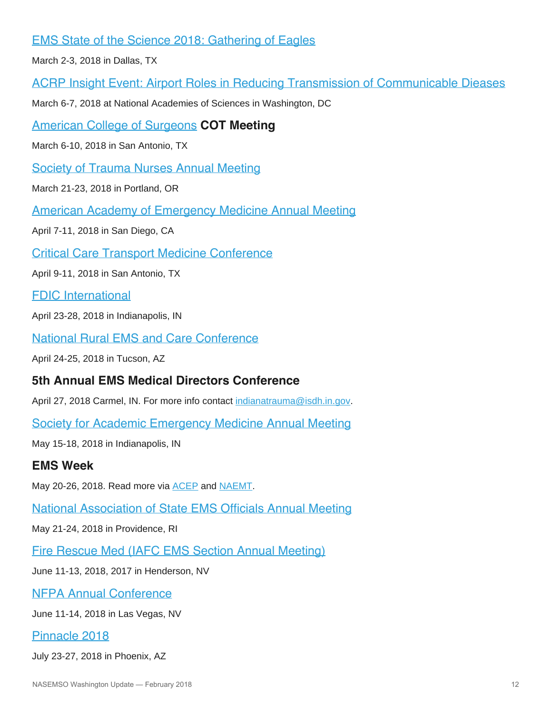#### [EMS State of the Science 2018: Gathering of Eagles](http://gatheringofeagles.us/2018/2018information.htm)

March 2-3, 2018 in Dallas, TX

[ACRP Insight Event: Airport Roles in Reducing Transmission of Communicable Dieases](https://projects.erg.com/conferences/acrp/register-acrp-insightevent.asp)

March 6-7, 2018 at National Academies of Sciences in Washington, DC

[American College of Surgeons](https://www.facs.org/) **COT Meeting**

March 6-10, 2018 in San Antonio, TX

[Society of Trauma Nurses Annual Meeting](http://www.traumanurses.org/education/traumacon-2018)

March 21-23, 2018 in Portland, OR

[American Academy of Emergency Medicine Annual Meeting](http://www.aaem.org/)

April 7-11, 2018 in San Diego, CA

[Critical Care Transport Medicine Conference](http://www.iafccp.org/event/id/177507/Critical-Care-Transport-Medicine-Conference-CCTMC.htm)

April 9-11, 2018 in San Antonio, TX

[FDIC International](http://www.fdic.com/index.html)

April 23-28, 2018 in Indianapolis, IN

[National Rural EMS and Care Conference](https://nosorh.org/calendar-events/ems/)

April 24-25, 2018 in Tucson, AZ

#### **5th Annual EMS Medical Directors Conference**

April 27, 2018 Carmel, IN. For more info contact [indianatrauma@isdh.in.gov](mailto:indianatrauma@isdh.in.gov?subject=EMS%20Medical%20Directors%20Conference).

[Society for Academic Emergency Medicine Annual Meeting](http://saem.org/annual-meeting)

May 15-18, 2018 in Indianapolis, IN

#### **EMS Week**

May 20-26, 2018. Read more via [ACEP](https://www.acep.org/emsweek/) and [NAEMT](https://www.naemt.org/initiatives/ems-week).

[National Association of State EMS Officials Annual Meeting](https://www.nasemso.org/AnnualMeeting2018/index.asp)

May 21-24, 2018 in Providence, RI

[Fire Rescue Med \(IAFC EMS Section Annual Meeting\)](https://www.iafc.org/events/event/2018/06/11/default-calendar/fire-rescue-med)

June 11-13, 2018, 2017 in Henderson, NV

[NFPA Annual Conference](http://www.nfpa.org/Training-and-Events/By-type/Conferences/Conference)

June 11-14, 2018 in Las Vegas, NV

#### [Pinnacle 2018](http://pinnacle-ems.com/)

July 23-27, 2018 in Phoenix, AZ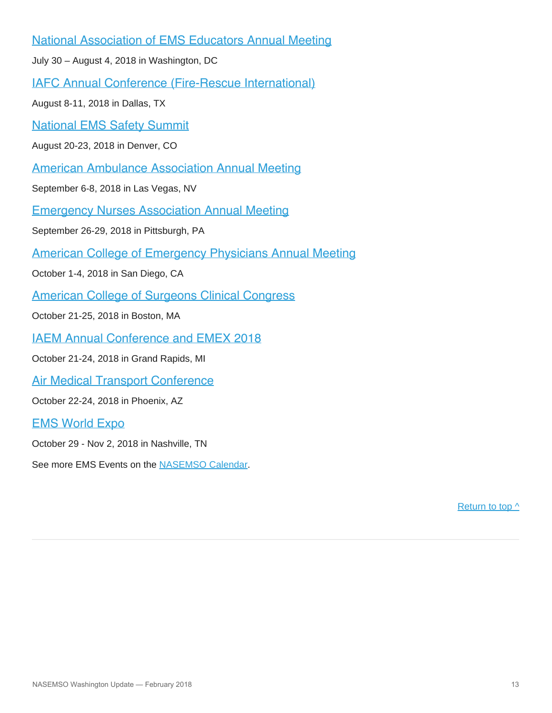[National Association of EMS Educators Annual Meeting](http://www.naemse.org/)

July 30 – August 4, 2018 in Washington, DC

[IAFC Annual Conference \(Fire-Rescue International\)](http://www.iafc.org/fri)

August 8-11, 2018 in Dallas, TX

[National EMS Safety Summit](http://nationalemssafetysummit.org/)

August 20-23, 2018 in Denver, CO

[American Ambulance Association Annual Meeting](https://annual.ambulance.org/)

September 6-8, 2018 in Las Vegas, NV

[Emergency Nurses Association Annual Meeting](http://www.ena.org/)

September 26-29, 2018 in Pittsburgh, PA

[American College of Emergency Physicians Annual Meeting](http://www.acep.org/)

October 1-4, 2018 in San Diego, CA

[American College of Surgeons Clinical Congress](https://www.facs.org/clincon2018)

October 21-25, 2018 in Boston, MA

[IAEM Annual Conference and EMEX 2018](http://www.iaemconference.info/)

October 21-24, 2018 in Grand Rapids, MI

[Air Medical Transport Conference](http://aams.org/education-meetings/)

October 22-24, 2018 in Phoenix, AZ

#### [EMS World Expo](http://www.emsworldexpo.com/)

October 29 - Nov 2, 2018 in Nashville, TN

See more EMS Events on the [NASEMSO Calendar.](http://www.nasemso.org/Resources/Calendar/index.asp)

[Return to top ^](#page-0-0)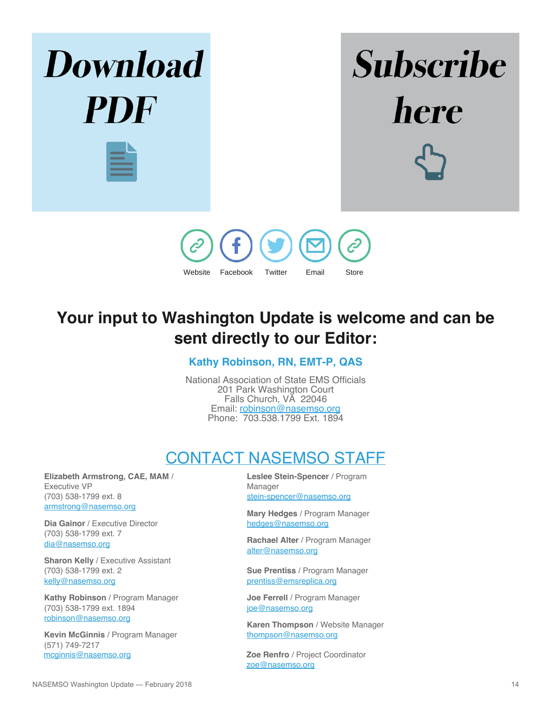

# **Your input to Washington Update is welcome and can be sent directly to our Editor:**

#### **Kathy Robinson, RN, EMT-P, QAS**

National Association of State EMS Officials 201 Park Washington Court Falls Church, VA 22046 Email: [robinson@nasemso.org](mailto:robinson@nasemso.org) Phone: 703.538.1799 Ext. 1894

# CONTACT NASEMSO STAFF

<span id="page-13-0"></span>**Elizabeth Armstrong, CAE, MAM** / Executive VP (703) 538-1799 ext. 8 [armstrong@nasemso.org](mailto:armstrong@nasemso.org)

**Dia Gainor** / Executive Director (703) 538-1799 ext. 7 [dia@nasemso.org](mailto:dia@nasemso.org)

**Sharon Kelly** / Executive Assistant (703) 538-1799 ext. 2 [kelly@nasemso.org](mailto:kelly@nasemso.org)

**Kathy Robinson** / Program Manager (703) 538-1799 ext. 1894 [robinson@nasemso.org](mailto:robinson@nasemso.org)

**Kevin McGinnis** / Program Manager (571) 749-7217<br>mcginnis@nasemso.org

**Leslee Stein-Spencer** / Program Manager [stein-spencer@nasemso.org](mailto:stein-spencer@nasemso.org)

**Mary Hedges** / Program Manager [hedges@nasemso.org](mailto:hedges@nasemso.org)

**Rachael Alter** / Program Manager [alter@nasemso.org](mailto:alter@nasemso.org)

**Sue Prentiss** / Program Manager [prentiss@emsreplica.org](mailto:prentiss@emsreplica.org)

**Joe Ferrell** / Program Manager [joe@nasemso.org](mailto:joe@nasemso.org)

**Karen Thompson** / Website Manager [thompson@nasemso.org](mailto:thompson@nasemso.org)

Zoe Renfro / Project Coordinator [zoe@nasemso.org](mailto:zoe@nasemso.org)